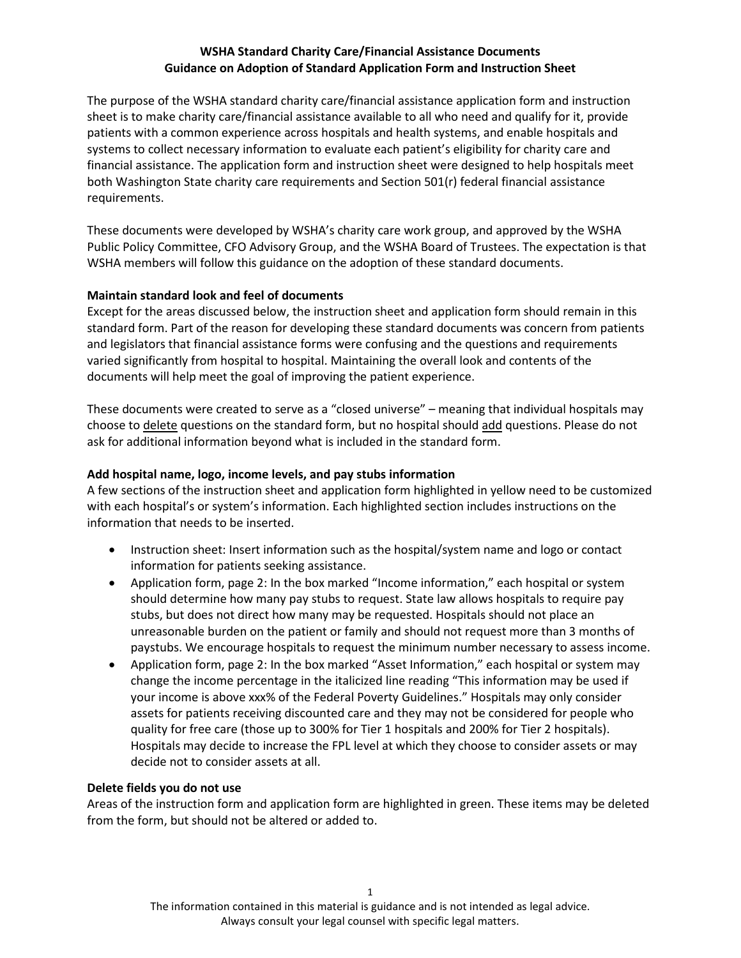# **WSHA Standard Charity Care/Financial Assistance Documents Guidance on Adoption of Standard Application Form and Instruction Sheet**

The purpose of the WSHA standard charity care/financial assistance application form and instruction sheet is to make charity care/financial assistance available to all who need and qualify for it, provide patients with a common experience across hospitals and health systems, and enable hospitals and systems to collect necessary information to evaluate each patient's eligibility for charity care and financial assistance. The application form and instruction sheet were designed to help hospitals meet both Washington State charity care requirements and Section 501(r) federal financial assistance requirements.

These documents were developed by WSHA's charity care work group, and approved by the WSHA Public Policy Committee, CFO Advisory Group, and the WSHA Board of Trustees. The expectation is that WSHA members will follow this guidance on the adoption of these standard documents.

## **Maintain standard look and feel of documents**

Except for the areas discussed below, the instruction sheet and application form should remain in this standard form. Part of the reason for developing these standard documents was concern from patients and legislators that financial assistance forms were confusing and the questions and requirements varied significantly from hospital to hospital. Maintaining the overall look and contents of the documents will help meet the goal of improving the patient experience.

These documents were created to serve as a "closed universe" – meaning that individual hospitals may choose to delete questions on the standard form, but no hospital should add questions. Please do not ask for additional information beyond what is included in the standard form.

## **Add hospital name, logo, income levels, and pay stubs information**

A few sections of the instruction sheet and application form highlighted in yellow need to be customized with each hospital's or system's information. Each highlighted section includes instructions on the information that needs to be inserted.

- Instruction sheet: Insert information such as the hospital/system name and logo or contact information for patients seeking assistance.
- Application form, page 2: In the box marked "Income information," each hospital or system should determine how many pay stubs to request. State law allows hospitals to require pay stubs, but does not direct how many may be requested. Hospitals should not place an unreasonable burden on the patient or family and should not request more than 3 months of paystubs. We encourage hospitals to request the minimum number necessary to assess income.
- Application form, page 2: In the box marked "Asset Information," each hospital or system may change the income percentage in the italicized line reading "This information may be used if your income is above xxx% of the Federal Poverty Guidelines." Hospitals may only consider assets for patients receiving discounted care and they may not be considered for people who quality for free care (those up to 300% for Tier 1 hospitals and 200% for Tier 2 hospitals). Hospitals may decide to increase the FPL level at which they choose to consider assets or may decide not to consider assets at all.

#### **Delete fields you do not use**

Areas of the instruction form and application form are highlighted in green. These items may be deleted from the form, but should not be altered or added to.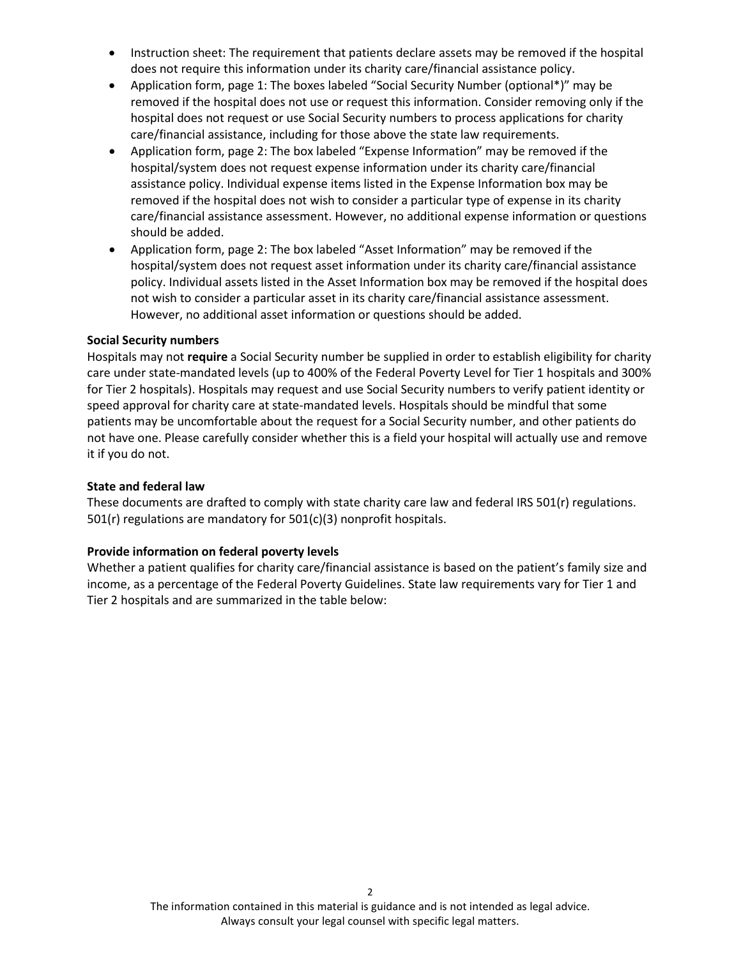- Instruction sheet: The requirement that patients declare assets may be removed if the hospital does not require this information under its charity care/financial assistance policy.
- Application form, page 1: The boxes labeled "Social Security Number (optional\*)" may be removed if the hospital does not use or request this information. Consider removing only if the hospital does not request or use Social Security numbers to process applications for charity care/financial assistance, including for those above the state law requirements.
- Application form, page 2: The box labeled "Expense Information" may be removed if the hospital/system does not request expense information under its charity care/financial assistance policy. Individual expense items listed in the Expense Information box may be removed if the hospital does not wish to consider a particular type of expense in its charity care/financial assistance assessment. However, no additional expense information or questions should be added.
- Application form, page 2: The box labeled "Asset Information" may be removed if the hospital/system does not request asset information under its charity care/financial assistance policy. Individual assets listed in the Asset Information box may be removed if the hospital does not wish to consider a particular asset in its charity care/financial assistance assessment. However, no additional asset information or questions should be added.

#### **Social Security numbers**

Hospitals may not **require** a Social Security number be supplied in order to establish eligibility for charity care under state-mandated levels (up to 400% of the Federal Poverty Level for Tier 1 hospitals and 300% for Tier 2 hospitals). Hospitals may request and use Social Security numbers to verify patient identity or speed approval for charity care at state-mandated levels. Hospitals should be mindful that some patients may be uncomfortable about the request for a Social Security number, and other patients do not have one. Please carefully consider whether this is a field your hospital will actually use and remove it if you do not.

### **State and federal law**

These documents are drafted to comply with state charity care law and federal IRS 501(r) regulations. 501(r) regulations are mandatory for 501(c)(3) nonprofit hospitals.

#### **Provide information on federal poverty levels**

Whether a patient qualifies for charity care/financial assistance is based on the patient's family size and income, as a percentage of the Federal Poverty Guidelines. State law requirements vary for Tier 1 and Tier 2 hospitals and are summarized in the table below: